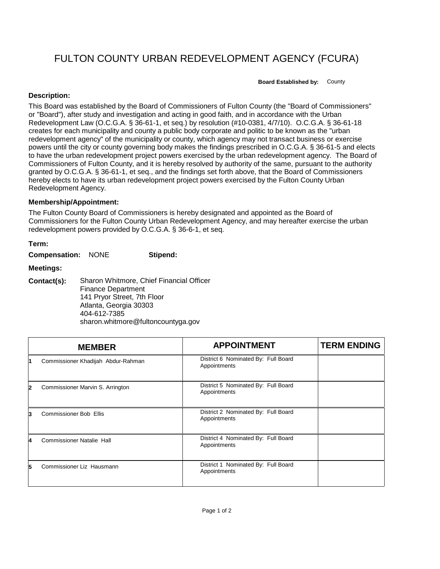## FULTON COUNTY URBAN REDEVELOPMENT AGENCY (FCURA)

**Board Established by:** County

## **Description:**

This Board was established by the Board of Commissioners of Fulton County (the "Board of Commissioners" or "Board"), after study and investigation and acting in good faith, and in accordance with the Urban Redevelopment Law (O.C.G.A. § 36-61-1, et seq.) by resolution (#10-0381, 4/7/10). O.C.G.A. § 36-61-18 creates for each municipality and county a public body corporate and politic to be known as the "urban redevelopment agency" of the municipality or county, which agency may not transact business or exercise powers until the city or county governing body makes the findings prescribed in O.C.G.A. § 36-61-5 and elects to have the urban redevelopment project powers exercised by the urban redevelopment agency. The Board of Commissioners of Fulton County, and it is hereby resolved by authority of the same, pursuant to the authority granted by O.C.G.A. § 36-61-1, et seq., and the findings set forth above, that the Board of Commissioners hereby elects to have its urban redevelopment project powers exercised by the Fulton County Urban Redevelopment Agency.

## **Membership/Appointment:**

The Fulton County Board of Commissioners is hereby designated and appointed as the Board of Commissioners for the Fulton County Urban Redevelopment Agency, and may hereafter exercise the urban redevelopment powers provided by O.C.G.A. § 36-6-1, et seq.

| Term:                     |                                                                                                                                                                                      |          |
|---------------------------|--------------------------------------------------------------------------------------------------------------------------------------------------------------------------------------|----------|
| <b>Compensation: NONE</b> |                                                                                                                                                                                      | Stipend: |
| <b>Meetings:</b>          |                                                                                                                                                                                      |          |
| Contact(s):               | Sharon Whitmore, Chief Financial Officer<br><b>Finance Department</b><br>141 Pryor Street, 7th Floor<br>Atlanta, Georgia 30303<br>404-612-7385<br>sharon.whitmore@fultoncountyga.gov |          |

|              | <b>MEMBER</b>                      | <b>APPOINTMENT</b>                                  | <b>TERM ENDING</b> |
|--------------|------------------------------------|-----------------------------------------------------|--------------------|
|              | Commissioner Khadijah Abdur-Rahman | District 6 Nominated By: Full Board<br>Appointments |                    |
| $\mathbf{2}$ | Commissioner Marvin S. Arrington   | District 5 Nominated By: Full Board<br>Appointments |                    |
| 3            | <b>Commissioner Bob Ellis</b>      | District 2 Nominated By: Full Board<br>Appointments |                    |
| 4            | <b>Commissioner Natalie Hall</b>   | District 4 Nominated By: Full Board<br>Appointments |                    |
| 5            | Commissioner Liz Hausmann          | District 1 Nominated By: Full Board<br>Appointments |                    |